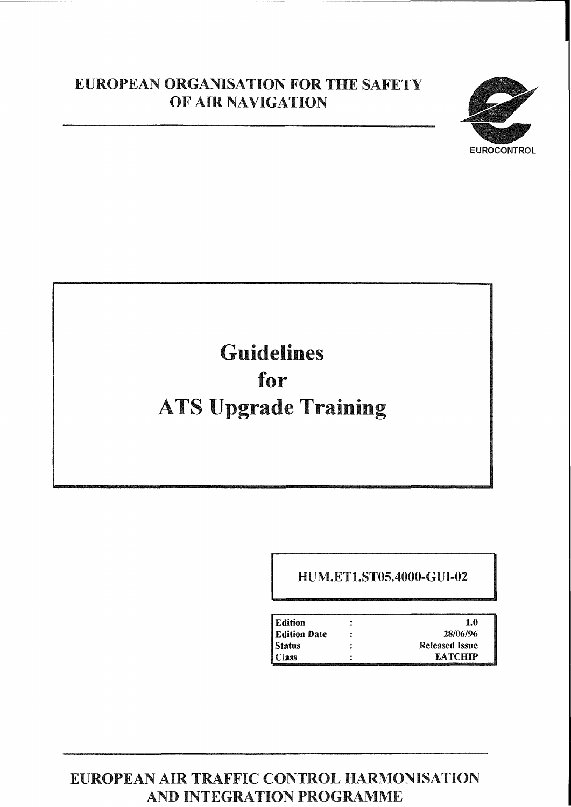# **EUROPEAN ORGANISATION FOR THE SAFETY OF AIR NAVIGATION**



# Guidelines for ATS **Upgrade** Training

**HUM.ET1.ST05.4000-GUI-02**

| <b>I</b> Edition    | 1.0                   |
|---------------------|-----------------------|
| <b>Edition Date</b> | 28/06/96              |
| <b>I</b> Status     | <b>Released Issue</b> |
| Class               | <b>EATCHIP</b>        |

# **EUROPEAN AIR TRAFFIC CONTROL HARMONISATION AND INTEGRATION PROGRAMME**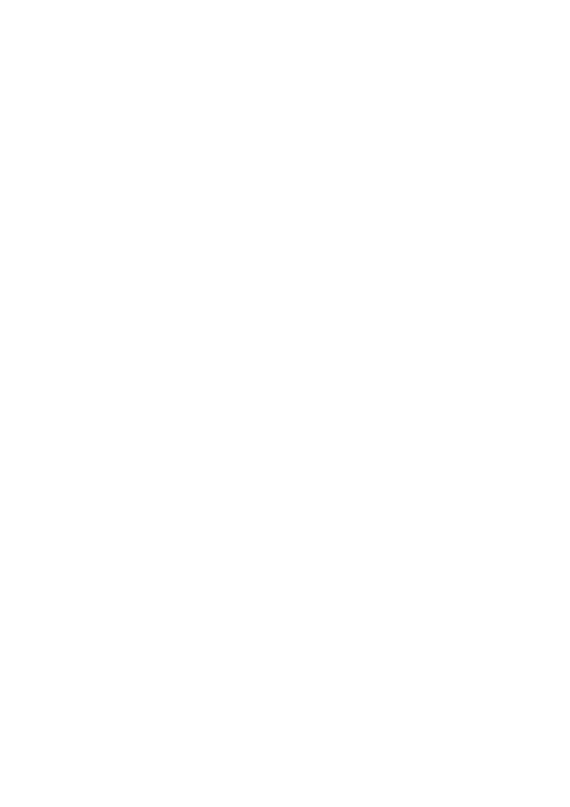<span id="page-3-0"></span>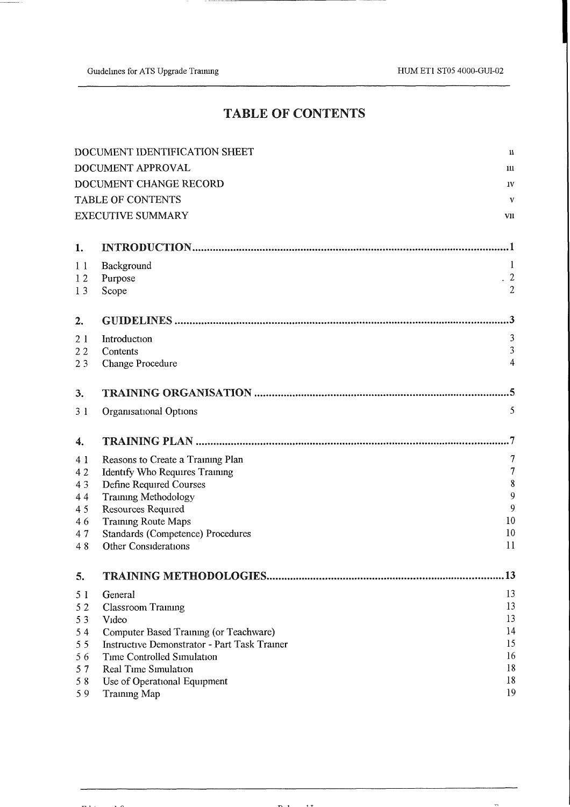$\overline{\mathbf{w}}$ 

### **TABLE OF CONTENTS**

<span id="page-4-0"></span>

|          | Guidelines for ATS Upgrade Training                                                           | HUM ET1 ST05 4000-GUI-02 |  |
|----------|-----------------------------------------------------------------------------------------------|--------------------------|--|
|          | <b>TABLE OF CONTENTS</b>                                                                      |                          |  |
|          |                                                                                               |                          |  |
|          | DOCUMENT IDENTIFICATION SHEET<br>DOCUMENT APPROVAL                                            | 11<br>111                |  |
|          | DOCUMENT CHANGE RECORD                                                                        | 1V                       |  |
|          | <b>TABLE OF CONTENTS</b>                                                                      | V                        |  |
|          | <b>EXECUTIVE SUMMARY</b>                                                                      | V11                      |  |
| 1.       |                                                                                               |                          |  |
| 11       | Background                                                                                    | 1                        |  |
| 12       | Purpose                                                                                       | $\cdot$ 2                |  |
| 13       | Scope                                                                                         | $\overline{2}$           |  |
| 2.       |                                                                                               | 3                        |  |
| 21       | Introduction                                                                                  | 3                        |  |
| 22<br>23 | Contents<br><b>Change Procedure</b>                                                           | 3<br>4                   |  |
| 3.       |                                                                                               |                          |  |
| 31       | Organisational Options                                                                        | 5                        |  |
| 4.       |                                                                                               |                          |  |
| 4 1      | Reasons to Create a Training Plan                                                             | 7                        |  |
| 42       | Identify Who Requires Training                                                                | $\tau$                   |  |
| 43       | Define Required Courses                                                                       | 8                        |  |
| 44<br>45 | Training Methodology<br>Resources Required                                                    | 9<br>9                   |  |
| 46       | Training Route Maps                                                                           | 10                       |  |
| 47       | Standards (Competence) Procedures                                                             | 10                       |  |
| 48       | <b>Other Considerations</b>                                                                   | 11                       |  |
| 5.       |                                                                                               | .13                      |  |
| 5 1      | General                                                                                       | 13                       |  |
| 52       | <b>Classroom Training</b>                                                                     | 13                       |  |
| 53<br>54 | Video                                                                                         | 13<br>14                 |  |
| 55       | Computer Based Training (or Teachware)<br><b>Instructive Demonstrator - Part Task Trainer</b> | 15                       |  |
| 56       | Time Controlled Simulation                                                                    | 16                       |  |
| 57       | <b>Real Time Simulation</b>                                                                   | 18                       |  |
| 58       | Use of Operational Equipment                                                                  | 18                       |  |
| 59       | Training Map                                                                                  | 19                       |  |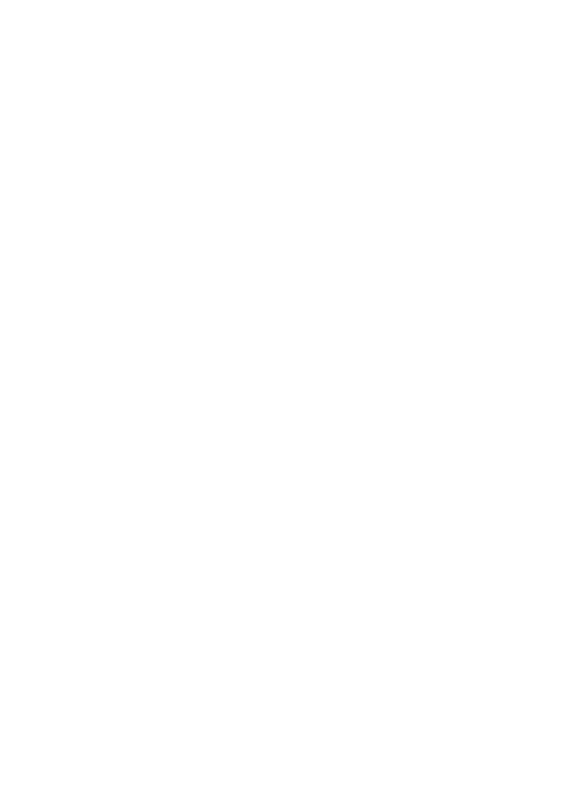| 6.   |                                      | 21           |  |  |
|------|--------------------------------------|--------------|--|--|
| 6 1  | General                              | 21           |  |  |
| 62   | <b>Training Plan</b>                 | 21           |  |  |
| 63   | <b>Training Manual</b>               | 21           |  |  |
| 64   | <b>ATC Procedures</b>                | 22           |  |  |
| 65   | <b>Instructor Guides</b>             | 22           |  |  |
| 66   | <b>Assessment Guide</b>              | 22           |  |  |
| 67   | Manufacturers Reference Manuals      | 22           |  |  |
| 68   | Quick Reference Guides               | 22           |  |  |
| 7.   |                                      | 23           |  |  |
| 71   | General                              | 23           |  |  |
| 72   | General Description of the System    | 24           |  |  |
| 73   | Human Machine Interface              | 25           |  |  |
| 74   | <b>Flight Data Processing</b>        | 26           |  |  |
| 75   | Radar Data Processing                | 28           |  |  |
| 76   | Using Radar and Flight Data Displays | 29           |  |  |
| 77   | Using the Voice Communication System | 31           |  |  |
| 78   | Co-ordination Procedures             | 32           |  |  |
| 79   | Other Equipment Upgrades             | 33<br>33     |  |  |
| 7 10 | <b>ATS Procedures</b>                |              |  |  |
| 8.   |                                      | 35           |  |  |
| 81   | General                              | 35           |  |  |
| 82   | Dates and Time Scales                | 35           |  |  |
| 83   | Organisation                         | 35           |  |  |
| 84   | Factory/Site Testing                 | 35           |  |  |
| 85   | Shadowing                            | 35           |  |  |
| 86   | Progressive Change-Over              | 35<br>35     |  |  |
| 87   | Reversion                            |              |  |  |
| 9.   |                                      | 37           |  |  |
| 91   | General                              | 37           |  |  |
| 92   | Safety Issues Reporting Scheme       | 37           |  |  |
|      | <b>ANNEXES</b>                       |              |  |  |
|      | SAMPLE OF AN ATC TRAINING PLAN       | A            |  |  |
|      | <b>SAMPLE TRAINING COURSE</b>        | B            |  |  |
|      | <b>QUICK REFERENCE GUIDES</b>        | $\mathsf{C}$ |  |  |
|      |                                      | D            |  |  |
|      | REPORTING FORM                       |              |  |  |
|      | <b>LIST OF PARTICIPANTS</b>          | E            |  |  |
|      | REFERENCE DOCUMENTS                  |              |  |  |
|      | DEFINITIONS AND ABBREVIATIONS        |              |  |  |
|      | G                                    |              |  |  |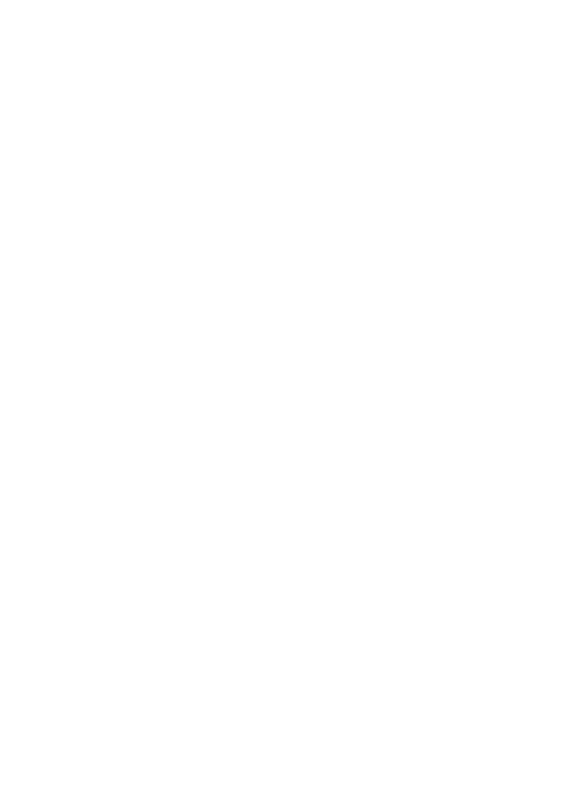<span id="page-8-1"></span><span id="page-8-0"></span>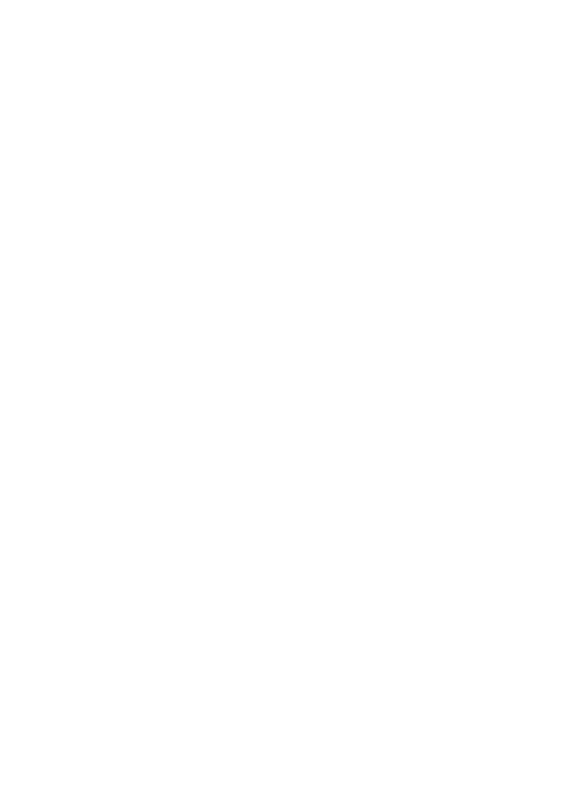#### <span id="page-9-0"></span>1.2 Purpose

The purpose of this document is to provide information and possible lines of actions to prepare for the introduction of new CWPs

The main user of this document should be the person in charge of the preparation and training of operational staff to the CWP

Other users could include the different experts or managers that will deal with this training **ISSUE** 

This document should also be used as a source of information between the different categories of people involved in these training activities (training managers, course planners, instructors, manpower managers, operational heads)

#### <span id="page-9-1"></span>1.3 Scope

The TSG recognised that system upgrade training is of great importance to many nations at present and will be of great importance to other nations in the future This document is based on the practical experience of planners of system upgrade training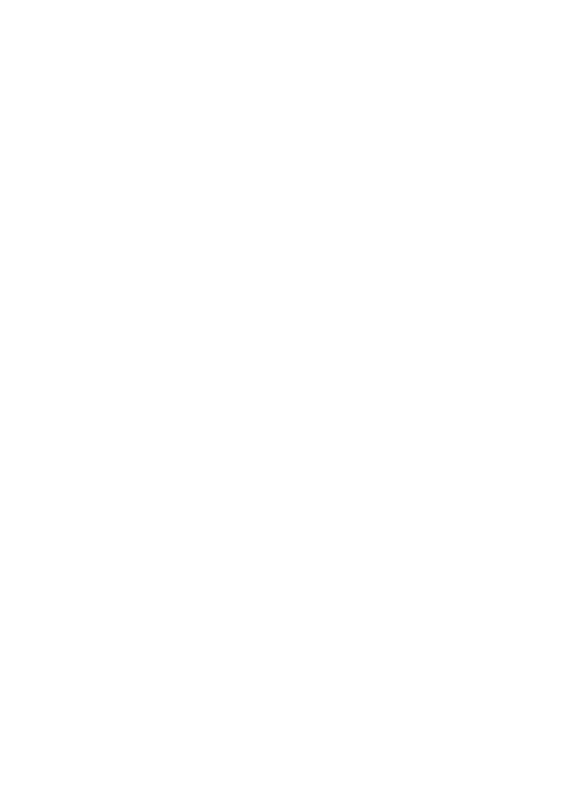<span id="page-10-2"></span><span id="page-10-1"></span><span id="page-10-0"></span>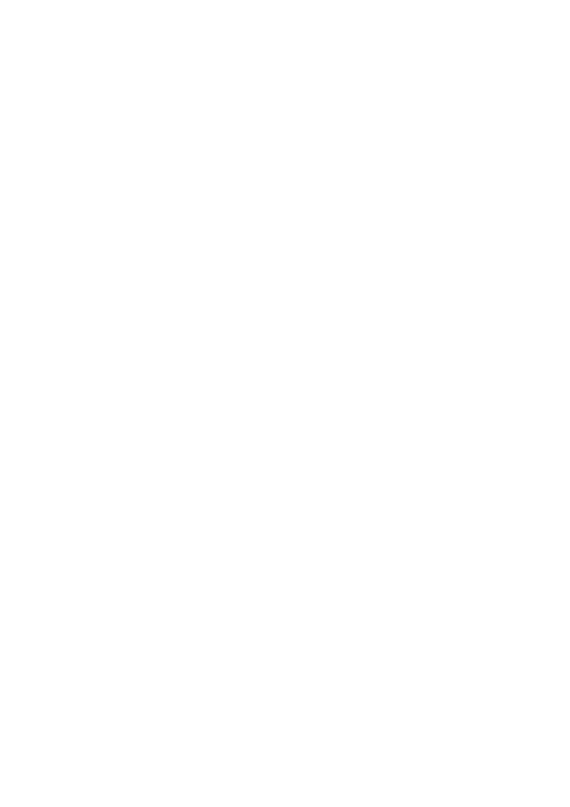#### **TRAINING PLAN** 4.

#### **Reasons to Create a Training Plan**  $4.1$

A training plan details an outline of the training requirements, methods of achievement and time scale for achievement

It is an essential part of the planning for an extensive training program It should enable everyone concerned in the training task to know their roles and the training that is to be given

A training plan will show

- WHO needs training,
- WHAT subjects you are going to train people in,
- HOW you are going to train them,
- WHEN you are going to train them,
- HOW LONG the training will take

One training plan may contain information for several different target groups of people It is important that each person be made aware of the training plan they are going to follow In some cases it may be easier to produce an overall training plan and then individual sub-plans for the various target groups

This Chapter contains an outline of the contents of a training plan An example from the UK CAA is included in Annex A of these guidelines

NOTE - The suggestions shown here are only guidelines and you will need to add or subtract other items to suit your own needs

#### 4.2 **Identify Who Requires Training**

#### $4.2.1$ General

Identify the different target groups of people that will require training, e g

- Planning Controllers,  $\bullet$
- Radar/Tactical Controllers,  $\bullet$
- **Flight Data Personnel** ¢

NOTE - In some cases a change of role may also be required and this must be identified

#### $4.2.1.1$ The Skills Gap

The "Skills Gap" identifies the training that is required, i.e. the gap between the current skills and the required skills, and identifies the training task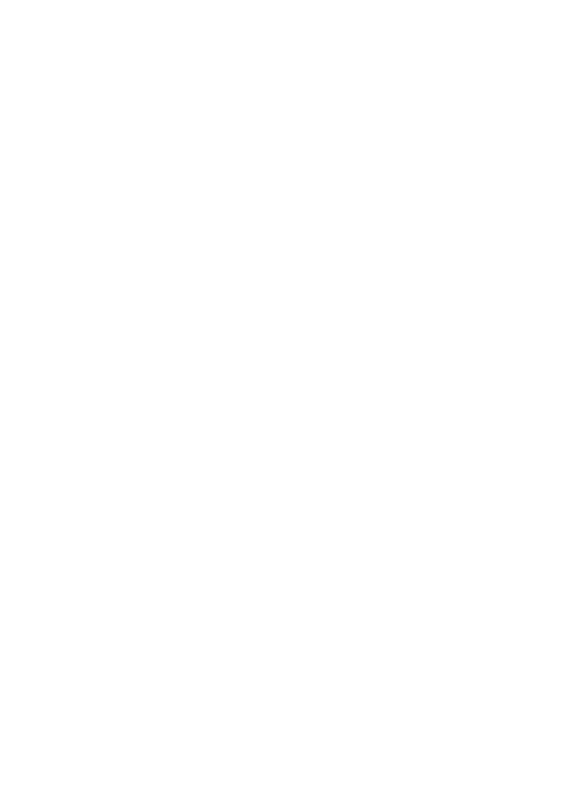<span id="page-18-1"></span><span id="page-18-0"></span>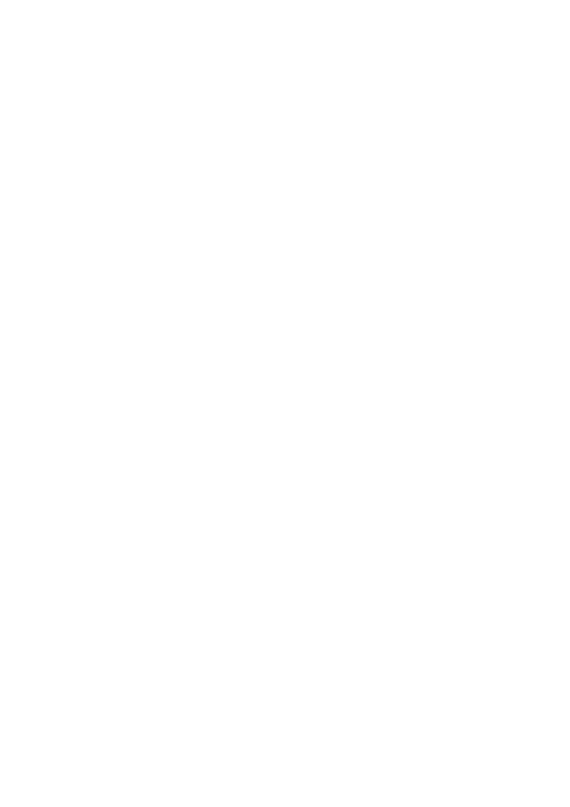#### $4.7.2$ Description of Checkout/Validation procedures to be used

Define success/fail criteria and validation procedures before use of the equipment in an operational environment

Define the assessment methods to be used These will normally fall into one of the following categories

- performance test, e
- continuous assessment,  $\ddot{\mathbf{a}}$
- written assessment, ø
- verbal assessment,  $\bullet$
- no assessment

An example is described in Annex A

#### **Other Considerations** 4.8

#### $4.8.1$ **Marketing**

For members of staff a period of change always brings about uncertainty and concern It is important that the training plan is properly "marketed" to the staff members

At all times information and training courses must be presented professionally, a regularly produced newsletter or magazine helps to inform everyone of progress

#### $4.8.2$ **Training Strategy**

The success of system upgrade training will depend on thoroughness including the minimum of change to familiar practice Any alternative strategy may result in additional stresses being placed on ATC operations

Although it is inevitable that the introduction of new equipment will mean some changes to the existing method of operation, major changes to the ATC environment should be avoided

Major changes to the ATC environment could be introduced once controllers are familiar with the new equipment, or alternatively, could be introduced prior to commencement of system upgrade training

#### 4.8.3 **Impact on Other Training**

#### 4.8.3.1 **Ab-Initio Training**

During the system upgrade training, ab-initio training may have to be curtailed

Training resources may not be sufficient to handle both the upgrade training and routine training. The impact on routine training may be severe and advance planning could be measured in years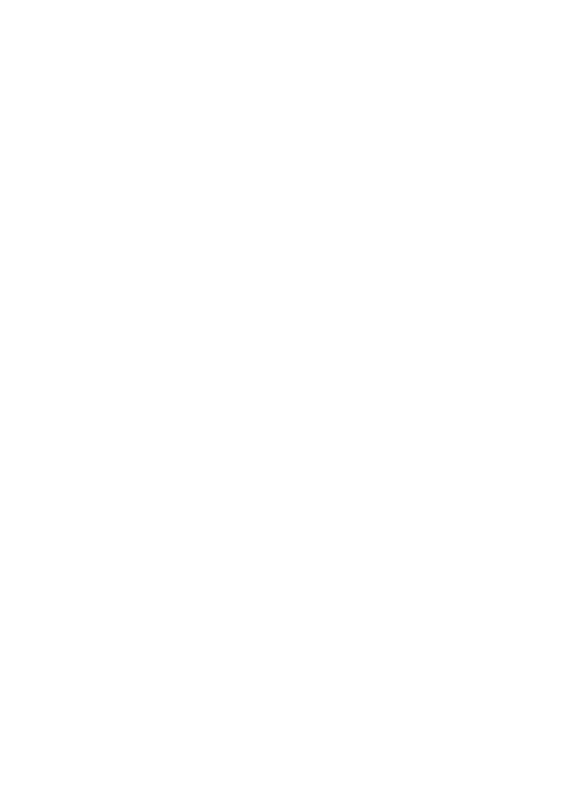<span id="page-22-0"></span>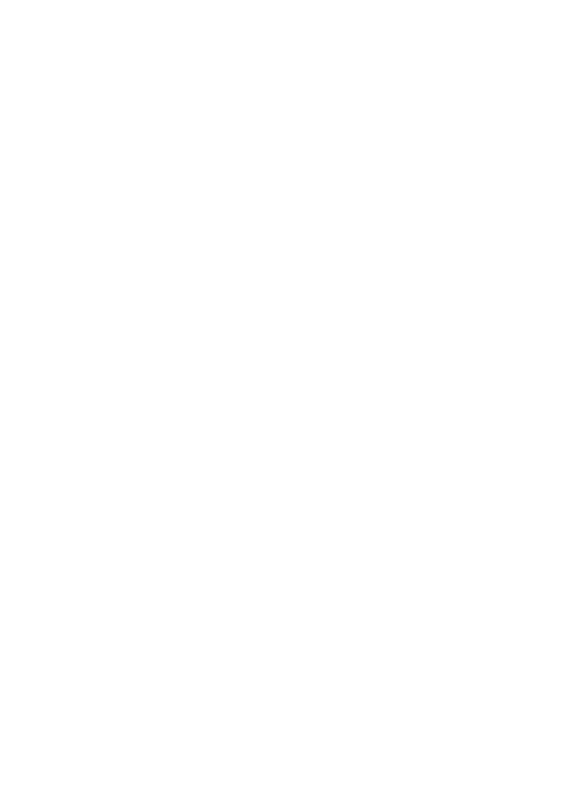<span id="page-24-0"></span>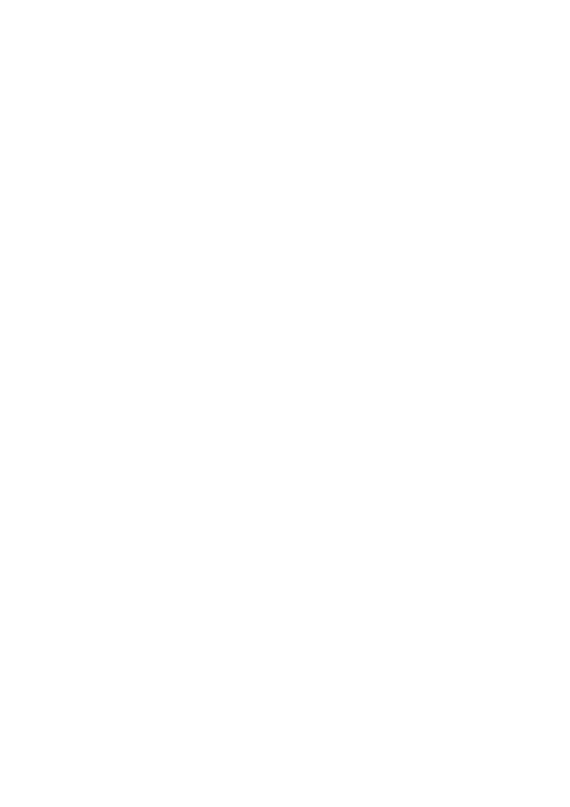#### <span id="page-26-0"></span> $5.7$ **Real Time Simulation**

#### $5.7.1$ Introduction

Real time simulation is the traditional method of teaching operational ATC procedures It is labour and time intensive

It is probably still an essential part of training for new radar display equipment

The simulator must accurately represent the operational equipment if it is to be of the greatest value

#### $5.7.2$ **Uses**

Practice of operational ATC situations following training in new tasks and equipment

#### 5.7.3 **Advantages**

Allows risk-free practice of all required skills in real time

Shortens OJT

Incremental levels of difficulty are presented in a logical (and controlled) sequence

#### 5.7.4 **Disadvantages**

Relative high cost

Resources such as pseudo pilots and controllers for feed sectors may be required

May introduce incorrect procedures and actions if it does not exactly replicate the operational equipment

#### <span id="page-26-1"></span>5.8 **Use of Operational Equipment**

#### 5.8.1 Introduction

Following installation of new operational equipment there is normally an extended period of testing before it can be used operationally

During this period, time should be allowed for use of the full system for final training

During the same period, the equipment may also be used for shadowing

#### 5.8.2 **Advantages**

Allows practice on the new operational equipment

May reveal faults that were not previously apparent

NOTE - System testing inevitably does not reveal all the system problems Use of the full system for shadowing and final training can often reveal unforeseen problems

#### 5.8.3 Disadvantages

May not be available due to installation and testing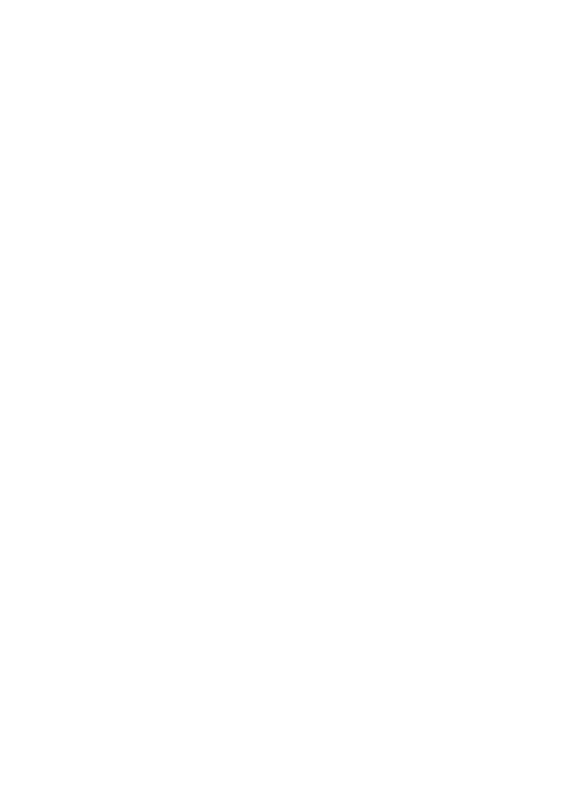#### **DOCUMENTATION** 6.

#### $6.1$ General

Extensive documentation will be required to support the training. This Chapter briefly covers documentation that it may be necessary to provide It is not a comprehensive list

#### 6.2 **Training Plan**

This will be a comprehensive document identifying all the training requirements and the methods of achieving them

For ideas on contents see the Chapter on the training plan in these guidelines

#### $6.2.1$ **Checklist of Pages**

As the contents of the training plan may change, it is suggested that a checklist of pages is established

Each page should be dated and a record kept on this checklist of the number of each page and the date of issue

Records should be kept of training plans issued and any issued amendments

#### 6.3 **Training Manual**

The provision of an individualised training manual for every person involved is strongly recommended

Such a manual would contain all the required training notes and information for a particular person's training route map (see note 1)

Production of slightly different manuals for radar controllers, planning controllers, tower controllers etc, could be considered but adds to the administrative workload Alternatively, a comprehensive manual could be produced with clear guidelines as to which sections are applicable to which role/task

The contents of any manual will depend on the specific equipment and any operational changes being made. The headings given in this manual are a guide and should be added to, subtracted from or modified to suit individual needs (see note 2)

### **NOTES**

- People are often apprehensive about new technology and the training they will receive  $\mathbf{1}$ The provision, at an early stage, of a manual showing what training they will receive may well allay apprehension It also shows that training has been planned, which can establish the credibility of programme
- 2) Much of the system information can be obtained from the manufacturers handbooks and specifications. In many cases the information contained in these, although accurate, is in a format that makes study by an individual controller difficult This manual should thus contain the information in an easily readable format. The information should also be limited to that directly required by the controller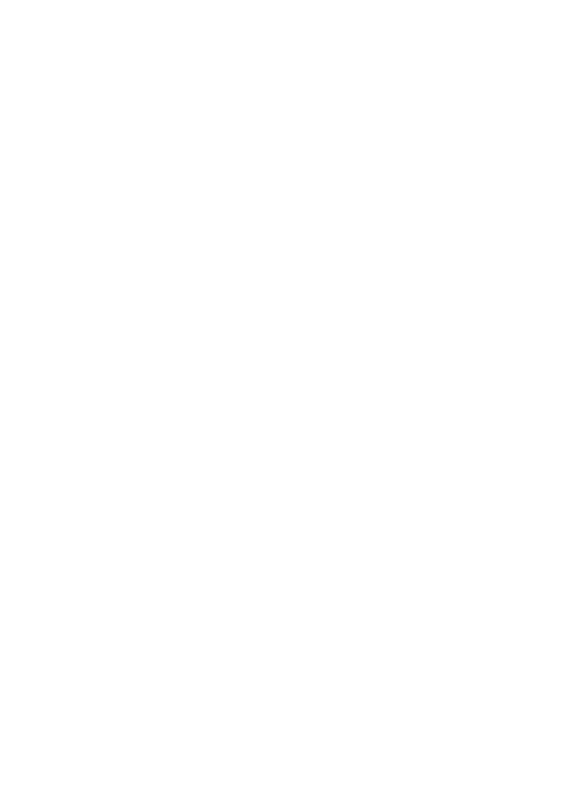#### 7.4 **Flight Data Processing**

#### $7,4.1$ **Target Audience**

Controllers and ATC staff handling FPLs and flight data

#### $7.4.2$ **Course Aim**

A detailed explanation of FPL and flight data processing associated with the system

#### $7.4.3$ **Course Contents**

### Only the broad headings of contents are given

The following represents items that could form course contents

- $\bullet$ equipment used
	- computer system,
	- input terminals,
	- output devices,
	- strip printers, electronic data displays
- relation with RDP equipment,  $\bullet$
- FPL reception,
- methods of inputting FPL data into the system,
- storage of FPLs,
- FPL phases and states,
- the different phases in the life of a FPL,
- terminology for these phases or states,
- FPL activation and subsequent handling (see note 1),
- how a FPL is activated,
- transfer of FPL data between sectors,
- transfer of FPL data between units,
- strip printing
	- when printed,
	- where printed,
	- types of strip
- FPL modifications allowed (see note 2),
- modifiable system parameters (see note 3),
- details of times when FPL actions take place,
- system failure procedures (detail the procedures to be followed when the automated system, or part of the automated system, fails),
- diversion and holding procedures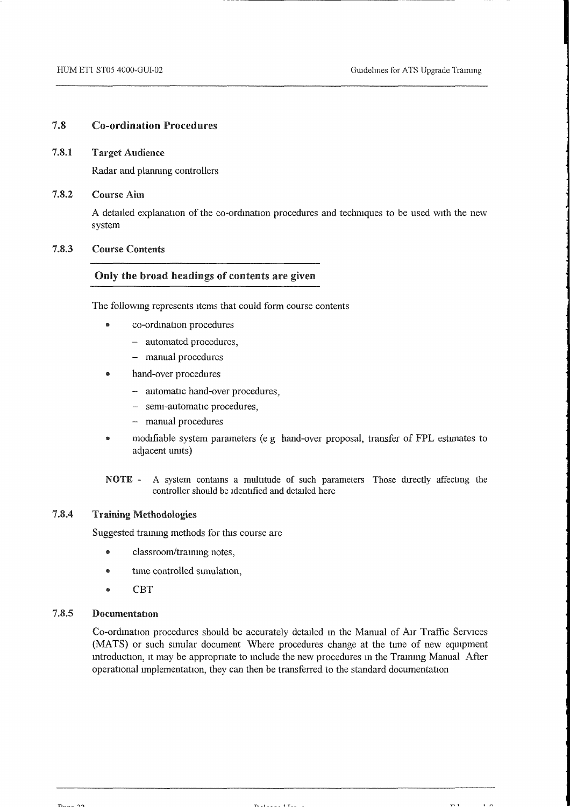## $7.8$ **Co-ordination Procedures**

#### $7.8.1$ **Target Audience**

Radar and planning controllers

#### $7.8.2$ **Course Aim**

A detailed explanation of the co-ordination procedures and techniques to be used with the new system

#### $7.8.3$ **Course Contents**

## Only the broad headings of contents are given

The following represents items that could form course contents

- $^{\circ}$ co-ordination procedures
	- automated procedures,
	- $-$  manual procedures
- hand-over procedures  $\bullet$ 
	- automatic hand-over procedures,
	- semi-automatic procedures,
	- manual procedures
- modifiable system parameters (e g hand-over proposal, transfer of FPL estimates to adjacent units)
- NOTE -A system contains a multitude of such parameters Those directly affecting the controller should be identified and detailed here

## 7.8.4 **Training Methodologies**

Suggested training methods for this course are

- classroom/training notes,
- $\bullet$ time controlled simulation,
- $\bullet$ **CBT**

## $7.8.5$ Documentation

Co-ordination procedures should be accurately detailed in the Manual of Air Traffic Services (MATS) or such similar document Where procedures change at the time of new equipment introduction, it may be appropriate to include the new procedures in the Training Manual After operational implementation, they can then be transferred to the standard documentation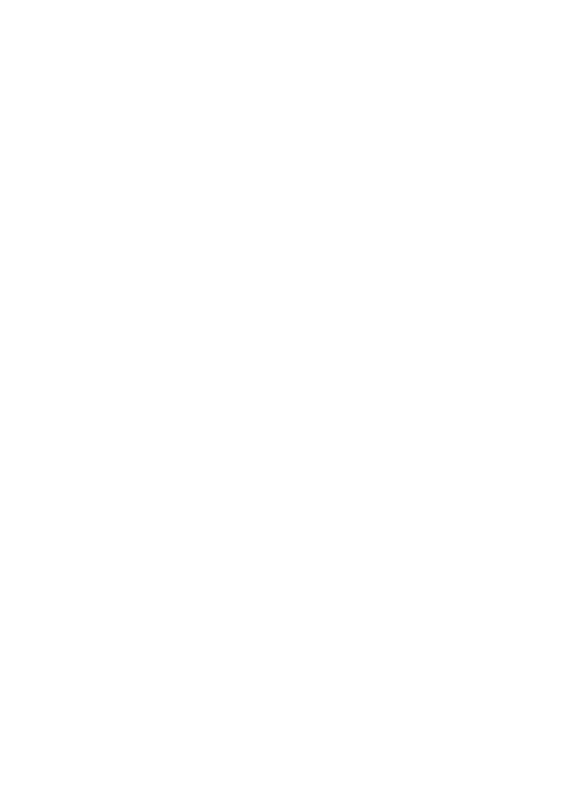## A.5 **INTRODUCTION**

#### $A.5.1$ **Background**

The success of the transition from the old centre to the new centre operations will depend on thorough training involving a minimum of change to familiar practice Any alternative strategy would result in a risk to the safety of operations To achieve this there will be no major changes to the old centre sectorisation and procedures from the end of [date] It is planned that the new centre operations will commence on [date] requiring about [number] civil controllers, about [number] military controllers and about [number] CIVIl and military assistants

The objective of the ATC training is to convert ATC staff from the old centre operations to the new centre operations There are some major differences between the two modes of operation However, some tasks remain almost unchanged

#### $A.5.2$ Purpose

The purpose of this paper is to document the training planned for the transition from the old centre to the new centre

#### $A.5.3$ Scope

This paper will identify the tasks and associated staff for whom training is required It will detail where and when this training is to take place in order to achieve the project date

#### $A.5.4$ Whom

Although the largest part of the training is for the core ATC staff, mainly the controllers who will perform the radar/tactical and planner tasks, there are many other functions to consider The preliminary work that has been carried out on the ATC Manpower Plan has identified the following staff who will require training

- controllers who will assist with systems acceptance and operational testing,
- simulation support specialists who will form the core team for the training and development unit,
- key trainers,
- On-the-Job Training Instructors (OJTI) who will assist in the operational work-up phase and then train the other ATC operational staff,
- civil ATC operations room supervisors,
- local area supervisors,
- specialist flow  $\bullet$ management staff,
- radar/tactical and planner controllers.
- ATC assistants,
- ATC briefing office staff,
- military ATC staff, including assistants,
- pseudo pilot operators/ blip drivers,
- controllers who will staff the feed sector positions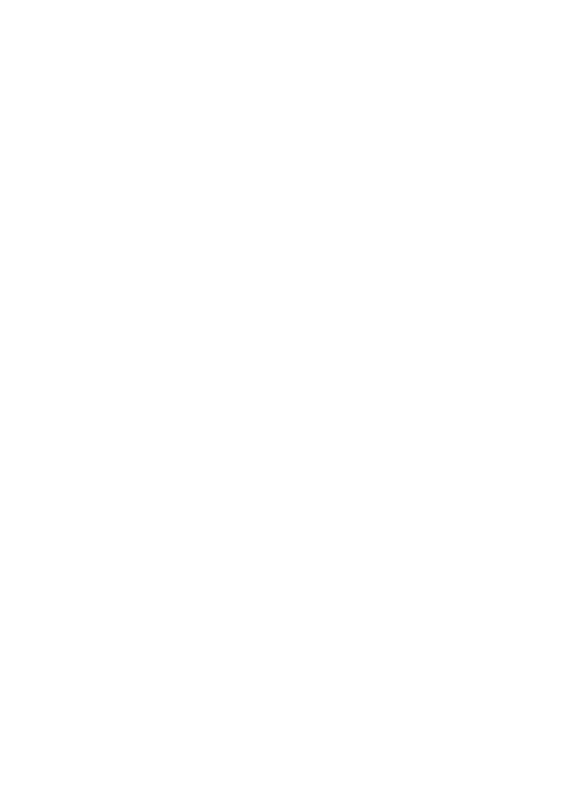# The schedule should be as follows

| Date               | <b>Sector</b> |
|--------------------|---------------|
| $15-19 \text{ xx}$ | AAA - GGG     |
| $22 - 26$ xx       | GGG - MMM     |

For each of the proving courses the following staff will be required

| <b>Staff</b>                                                                                                          | Source                             |
|-----------------------------------------------------------------------------------------------------------------------|------------------------------------|
| 25 civil controllers                                                                                                  | OJTI practical training team       |
| 10 assistants                                                                                                         | Assistant practical training team  |
| 6 military controllers                                                                                                | New centre military trainers       |
| 8 civil feed controllers                                                                                              | Retired controllers                |
| 2 military feed controllers                                                                                           | Old centre military                |
| 27 pseudo pilots/blip drivers                                                                                         | New centre simulator support staff |
| <b>NOTE</b> - It is assumed that the OJTI practical training team will hold the appropriate old<br>centre validations |                                    |

The nsks to the project m not carrymg out this provmg penod is that the organisation and management of operational conversion traimng courses will not hâve been checked before the courses begin, the quality of the documentation will not have been assessed and the practical traimng team of OJTI and assistants will not be famihar with the course format and the exercise content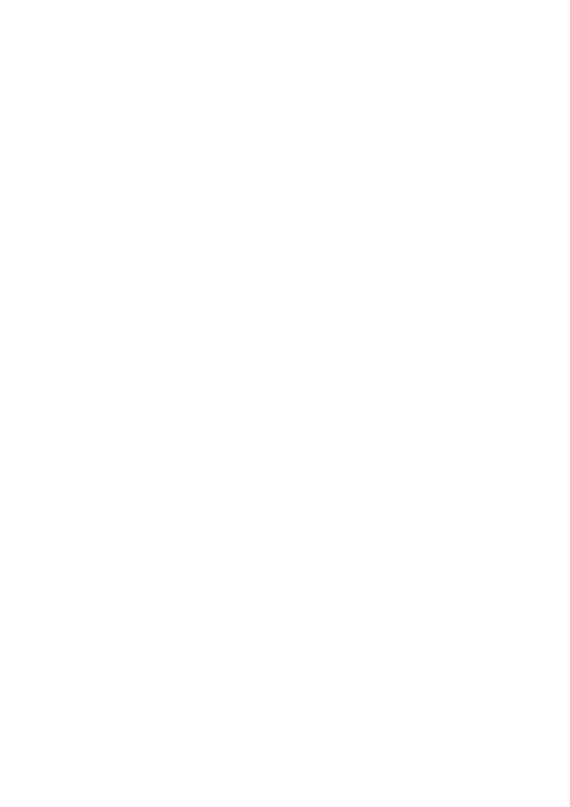## $A.8$ **COURSE APPROVAL AND ASSESSMENT OF CONTROLLERS**

#### A.8.1 General

In order to approve the preparation for operational conversion training courses, [State] Licensing Authority staff will need to see the following for each course

- the timetable of lessons and practical exercises, including details of self study  $\bullet$ arrangements (CBT),
- student and instructor guides including course objectives, lesson plans and visual aids,
- details of any practical exercises,
- forms to be used to record results of performance tests, verbal and written  $\bullet$ assessments

The operational conversion training courses will be assessed by continuous assessment and in order to approve these courses [State] Licensing Authority staff will need to see

- the timetable of lessons and practical exercises,  $\bullet$
- student and instructor guides including course and terminal objectives, lesson plans  $\bullet$ and visual aids,
- details of practical exercises,
- assessment guide showing milestone assessment objectives and forms to be used to record results of milestone assessments

During the operational conversion training courses members of the OJTI practical training team, qualified as assessors, will carry out the milestone assessments The assessments will be verified by members of the old centre training section and moderated by the staff from the [State] Licensing Authority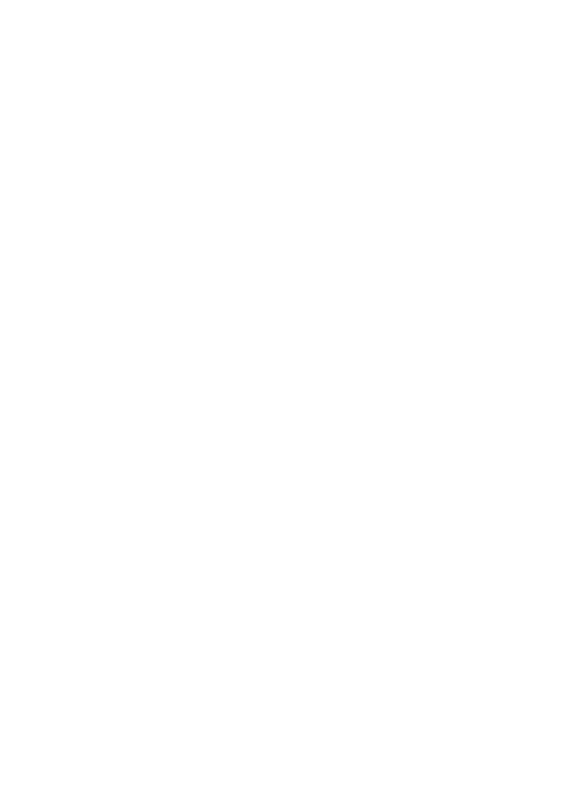Guidelines for ATS Upgrade Training

 $\hat{\mathcal{L}}$  $\hat{\boldsymbol{\beta}}$  $\bar{\star}$  $\hat{\mathbf{r}}$ d.

This page is intentionally left blank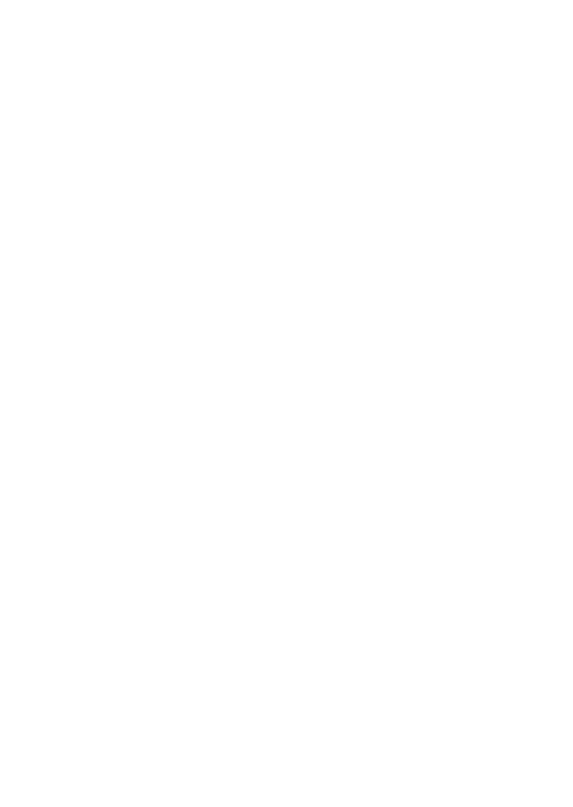Guidelines for ATS Upgrade Training

This page is intentionally left blank

 $\ddot{\phantom{1}}$  $\ddot{\phantom{0}}$  $\bar{\bar{z}}$ 

 $\hat{\boldsymbol{\beta}}$